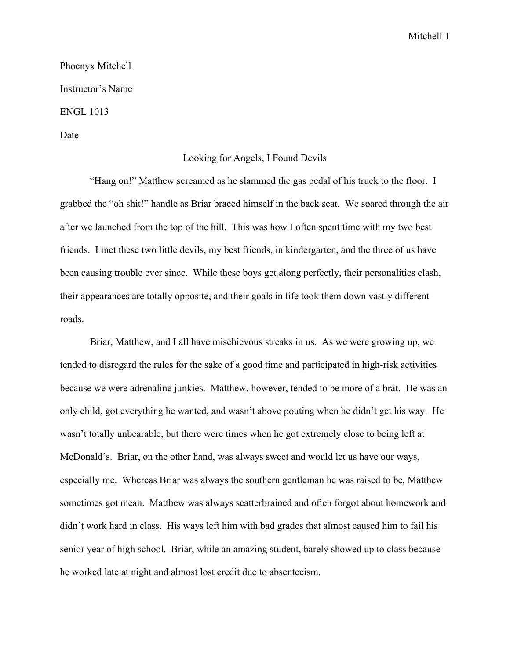Mitchell 1

Phoenyx Mitchell Instructor's Name ENGL 1013

Date

## Looking for Angels, I Found Devils

"Hang on!" Matthew screamed as he slammed the gas pedal of his truck to the floor. I grabbed the "oh shit!" handle as Briar braced himself in the back seat. We soared through the air after we launched from the top of the hill. This was how I often spent time with my two best friends. I met these two little devils, my best friends, in kindergarten, and the three of us have been causing trouble ever since. While these boys get along perfectly, their personalities clash, their appearances are totally opposite, and their goals in life took them down vastly different roads.

Briar, Matthew, and I all have mischievous streaks in us. As we were growing up, we tended to disregard the rules for the sake of a good time and participated in high-risk activities because we were adrenaline junkies. Matthew, however, tended to be more of a brat. He was an only child, got everything he wanted, and wasn't above pouting when he didn't get his way. He wasn't totally unbearable, but there were times when he got extremely close to being left at McDonald's. Briar, on the other hand, was always sweet and would let us have our ways, especially me. Whereas Briar was always the southern gentleman he was raised to be, Matthew sometimes got mean. Matthew was always scatterbrained and often forgot about homework and didn't work hard in class. His ways left him with bad grades that almost caused him to fail his senior year of high school. Briar, while an amazing student, barely showed up to class because he worked late at night and almost lost credit due to absenteeism.